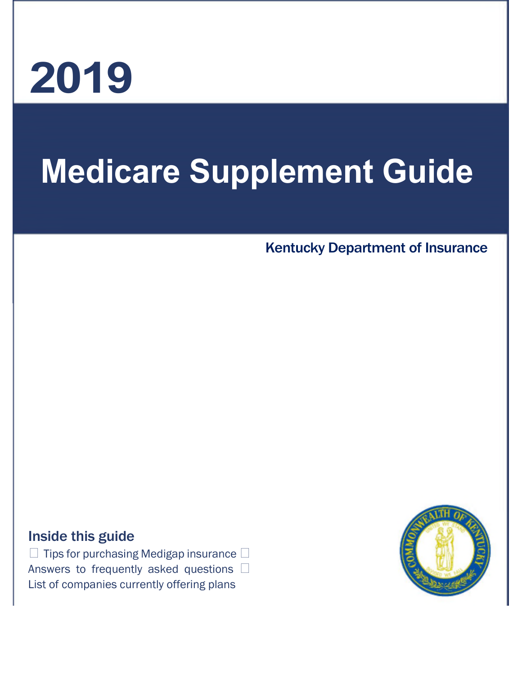# **2019**

# **Medicare Supplement Guide**

## Kentucky Department of Insurance

## Inside this guide

 $\Box$  Tips for purchasing Medigap insurance  $\Box$ Answers to frequently asked questions  $\Box$ List of companies currently offering plans

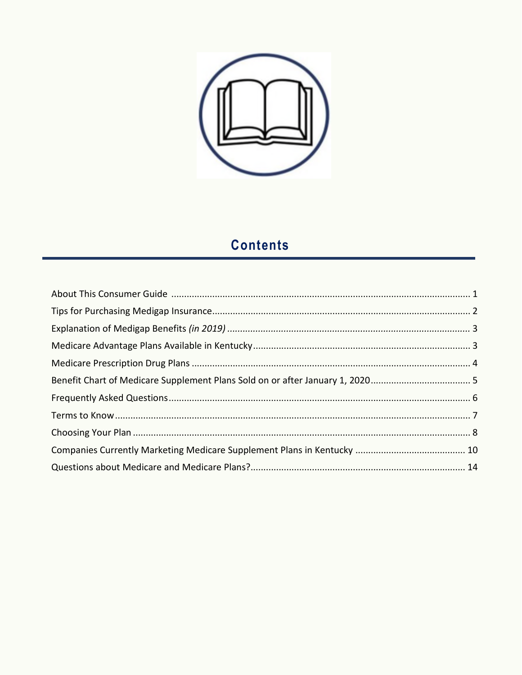

# **Contents**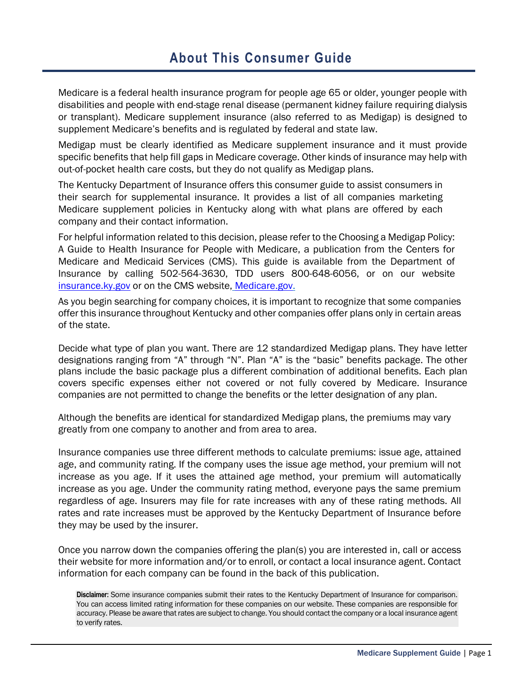## **About This Consumer Guide**

Medicare is a federal health insurance program for people age 65 or older, younger people with disabilities and people with end-stage renal disease (permanent kidney failure requiring dialysis or transplant). Medicare supplement insurance (also referred to as Medigap) is designed to supplement Medicare's benefits and is regulated by federal and state law.

Medigap must be clearly identified as Medicare supplement insurance and it must provide specific benefits that help fill gaps in Medicare coverage. Other kinds of insurance may help with out-of-pocket health care costs, but they do not qualify as Medigap plans.

The Kentucky Department of Insurance offers this consumer guide to assist consumers in their search for supplemental insurance. It provides a list of all companies marketing Medicare supplement policies in Kentucky along with what plans are offered by each company and their contact information.

For helpful information related to this decision, please refer to the Choosing a Medigap Policy: A Guide to Health Insurance for People with Medicare, a publication from the Centers for Medicare and Medicaid Services (CMS). This guide is available from the Department of Insurance by calling 502-564-3630, TDD users 800-648-6056, or on our website insurance.ky.gov or on the CMS website, Medicare.gov.

As you begin searching for company choices, it is important to recognize that some companies offer this insurance throughout Kentucky and other companies offer plans only in certain areas of the state.

Decide what type of plan you want. There are 12 standardized Medigap plans. They have letter designations ranging from "A" through "N". Plan "A" is the "basic" benefits package. The other plans include the basic package plus a different combination of additional benefits. Each plan covers specific expenses either not covered or not fully covered by Medicare. Insurance companies are not permitted to change the benefits or the letter designation of any plan.

Although the benefits are identical for standardized Medigap plans, the premiums may vary greatly from one company to another and from area to area.

Insurance companies use three different methods to calculate premiums: issue age, attained age, and community rating. If the company uses the issue age method, your premium will not increase as you age. If it uses the attained age method, your premium will automatically increase as you age. Under the community rating method, everyone pays the same premium regardless of age. Insurers may file for rate increases with any of these rating methods. All rates and rate increases must be approved by the Kentucky Department of Insurance before they may be used by the insurer.

Once you narrow down the companies offering the plan(s) you are interested in, call or access their website for more information and/or to enroll, or contact a local insurance agent. Contact information for each company can be found in the back of this publication.

**Disclaimer:** Some insurance companies submit their rates to the Kentucky Department of Insurance for comparison. You can access limited rating information for these companies on our website. These companies are responsible for accuracy. Please be aware that rates are subject to change. You should contact the company or a local insurance agent to verify rates.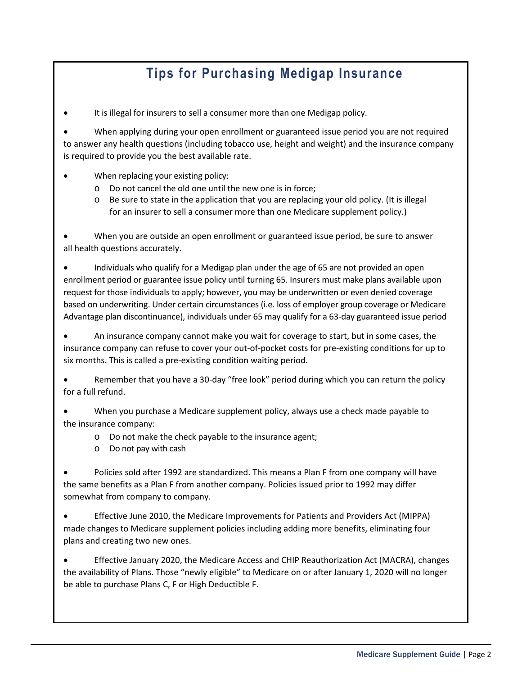# **Tips for Purchasing Medigap Insurance**

It is illegal for insurers to sell a consumer more than one Medigap policy.

 When applying during your open enrollment or guaranteed issue period you are not required to answer any health questions (including tobacco use, height and weight) and the insurance company is required to provide you the best available rate.

- When replacing your existing policy:
	- o Do not cancel the old one until the new one is in force;
	- o Be sure to state in the application that you are replacing your old policy. (It is illegal for an insurer to sell a consumer more than one Medicare supplement policy.)

 When you are outside an open enrollment or guaranteed issue period, be sure to answer all health questions accurately.

 Individuals who qualify for a Medigap plan under the age of 65 are not provided an open enrollment period or guarantee issue policy until turning 65. Insurers must make plans available upon request for those individuals to apply; however, you may be underwritten or even denied coverage based on underwriting. Under certain circumstances (i.e. loss of employer group coverage or Medicare Advantage plan discontinuance), individuals under 65 may qualify for a 63-day guaranteed issue period

 An insurance company cannot make you wait for coverage to start, but in some cases, the insurance company can refuse to cover your out-of-pocket costs for pre-existing conditions for up to six months. This is called a pre-existing condition waiting period.

 Remember that you have a 30-day "free look" period during which you can return the policy for a full refund.

 When you purchase a Medicare supplement policy, always use a check made payable to the insurance company:

- o Do not make the check payable to the insurance agent;
- o Do not pay with cash

 Policies sold after 1992 are standardized. This means a Plan F from one company will have the same benefits as a Plan F from another company. Policies issued prior to 1992 may differ somewhat from company to company.

 Effective June 2010, the Medicare Improvements for Patients and Providers Act (MIPPA) made changes to Medicare supplement policies including adding more benefits, eliminating four plans and creating two new ones.

 Effective January 2020, the Medicare Access and CHIP Reauthorization Act (MACRA), changes the availability of Plans. Those "newly eligible" to Medicare on or after January 1, 2020 will no longer be able to purchase Plans C, F or High Deductible F.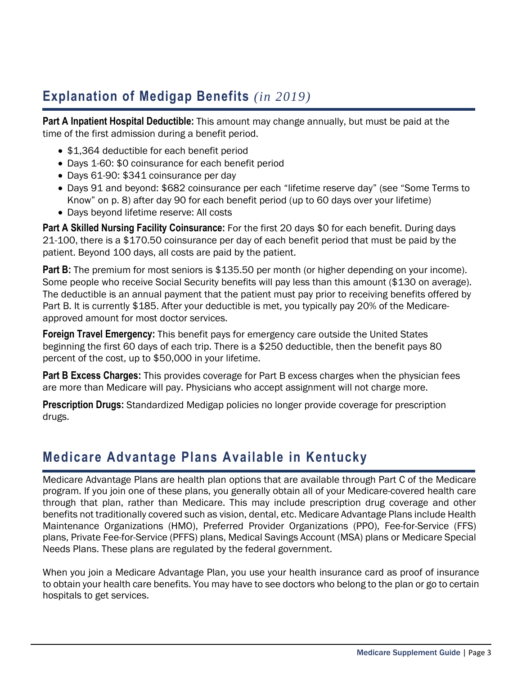# **Explanation of Medigap Benefits** *(in 2019)*

**Part A Inpatient Hospital Deductible:** This amount may change annually, but must be paid at the time of the first admission during a benefit period.

- \$1,364 deductible for each benefit period
- Days 1-60: \$0 coinsurance for each benefit period
- Days 61-90: \$341 coinsurance per day
- Days 91 and beyond: \$682 coinsurance per each "lifetime reserve day" (see "Some Terms to Know" on p. 8) after day 90 for each benefit period (up to 60 days over your lifetime)
- Days beyond lifetime reserve: All costs

**Part A Skilled Nursing Facility Coinsurance:** For the first 20 days \$0 for each benefit. During days 21-100, there is a \$170.50 coinsurance per day of each benefit period that must be paid by the patient. Beyond 100 days, all costs are paid by the patient.

**Part B:** The premium for most seniors is \$135.50 per month (or higher depending on your income). Some people who receive Social Security benefits will pay less than this amount (\$130 on average). The deductible is an annual payment that the patient must pay prior to receiving benefits offered by Part B. It is currently \$185. After your deductible is met, you typically pay 20% of the Medicareapproved amount for most doctor services.

**Foreign Travel Emergency:** This benefit pays for emergency care outside the United States beginning the first 60 days of each trip. There is a \$250 deductible, then the benefit pays 80 percent of the cost, up to \$50,000 in your lifetime.

**Part B Excess Charges:** This provides coverage for Part B excess charges when the physician fees are more than Medicare will pay. Physicians who accept assignment will not charge more.

**Prescription Drugs:** Standardized Medigap policies no longer provide coverage for prescription drugs.

# **Medicare Advantage Plans Available in Kentucky**

Medicare Advantage Plans are health plan options that are available through Part C of the Medicare program. If you join one of these plans, you generally obtain all of your Medicare-covered health care through that plan, rather than Medicare. This may include prescription drug coverage and other benefits not traditionally covered such as vision, dental, etc. Medicare Advantage Plans include Health Maintenance Organizations (HMO), Preferred Provider Organizations (PPO), Fee-for-Service (FFS) plans, Private Fee-for-Service (PFFS) plans, Medical Savings Account (MSA) plans or Medicare Special Needs Plans. These plans are regulated by the federal government.

When you join a Medicare Advantage Plan, you use your health insurance card as proof of insurance to obtain your health care benefits. You may have to see doctors who belong to the plan or go to certain hospitals to get services.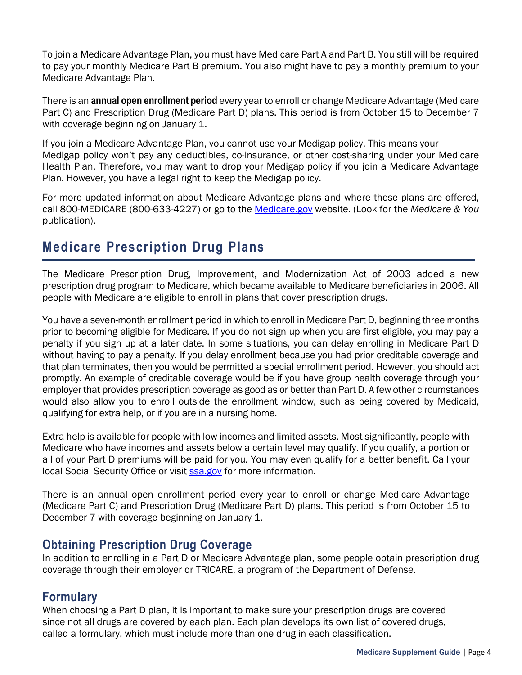To join a Medicare Advantage Plan, you must have Medicare Part A and Part B. You still will be required to pay your monthly Medicare Part B premium. You also might have to pay a monthly premium to your Medicare Advantage Plan.

There is an **annual open enrollment period** every year to enroll or change Medicare Advantage (Medicare Part C) and Prescription Drug (Medicare Part D) plans. This period is from October 15 to December 7 with coverage beginning on January 1.

If you join a Medicare Advantage Plan, you cannot use your Medigap policy. This means your Medigap policy won't pay any deductibles, co-insurance, or other cost-sharing under your Medicare Health Plan. Therefore, you may want to drop your Medigap policy if you join a Medicare Advantage Plan. However, you have a legal right to keep the Medigap policy.

For more updated information about Medicare Advantage plans and where these plans are offered, call 800-MEDICARE (800-633-4227) or go to the Medicare.gov website. (Look for the *Medicare & You* publication).

# **Medicare Prescription Drug Plans**

The Medicare Prescription Drug, Improvement, and Modernization Act of 2003 added a new prescription drug program to Medicare, which became available to Medicare beneficiaries in 2006. All people with Medicare are eligible to enroll in plans that cover prescription drugs.

You have a seven-month enrollment period in which to enroll in Medicare Part D, beginning three months prior to becoming eligible for Medicare. If you do not sign up when you are first eligible, you may pay a penalty if you sign up at a later date. In some situations, you can delay enrolling in Medicare Part D without having to pay a penalty. If you delay enrollment because you had prior creditable coverage and that plan terminates, then you would be permitted a special enrollment period. However, you should act promptly. An example of creditable coverage would be if you have group health coverage through your employer that provides prescription coverage as good as or better than Part D. A few other circumstances would also allow you to enroll outside the enrollment window, such as being covered by Medicaid, qualifying for extra help, or if you are in a nursing home.

Extra help is available for people with low incomes and limited assets. Most significantly, people with Medicare who have incomes and assets below a certain level may qualify. If you qualify, a portion or all of your Part D premiums will be paid for you. You may even qualify for a better benefit. Call your local Social Security Office or visit ssa.gov for more information.

There is an annual open enrollment period every year to enroll or change Medicare Advantage (Medicare Part C) and Prescription Drug (Medicare Part D) plans. This period is from October 15 to December 7 with coverage beginning on January 1.

## **Obtaining Prescription Drug Coverage**

In addition to enrolling in a Part D or Medicare Advantage plan, some people obtain prescription drug coverage through their employer or TRICARE, a program of the Department of Defense.

## **Formulary**

When choosing a Part D plan, it is important to make sure your prescription drugs are covered since not all drugs are covered by each plan. Each plan develops its own list of covered drugs, called a formulary, which must include more than one drug in each classification.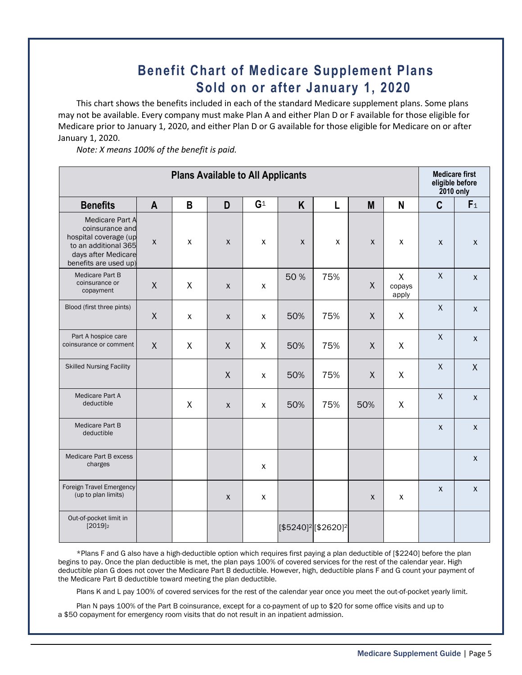# **Benefit Chart of Medicare Supplement Plans Sold on or after January 1, 2020**

This chart shows the benefits included in each of the standard Medicare supplement plans. Some plans may not be available. Every company must make Plan A and either Plan D or F available for those eligible for Medicare prior to January 1, 2020, and either Plan D or G available for those eligible for Medicare on or after January 1, 2020.

*Note: X means 100% of the benefit is paid.*

| <b>Plans Available to All Applicants</b>                                                                                                   |                    |              |                    |                |              |                                             | <b>Medicare first</b><br>eligible before<br><b>2010 only</b> |                                 |                    |                    |
|--------------------------------------------------------------------------------------------------------------------------------------------|--------------------|--------------|--------------------|----------------|--------------|---------------------------------------------|--------------------------------------------------------------|---------------------------------|--------------------|--------------------|
| <b>Benefits</b>                                                                                                                            | $\mathsf{A}$       | B            | D                  | G <sup>1</sup> | K            | L                                           | M                                                            | N                               | $\mathbf C$        | F <sub>1</sub>     |
| <b>Medicare Part A</b><br>coinsurance and<br>hospital coverage (up<br>to an additional 365<br>days after Medicare<br>benefits are used up) | $\pmb{\mathsf{X}}$ | X            | $\mathsf{X}$       | $\mathsf{x}$   | $\mathsf{x}$ | $\pmb{\mathsf{X}}$                          | $\pmb{\mathsf{X}}$                                           | X                               | $\pmb{\mathsf{X}}$ | $\pmb{\chi}$       |
| Medicare Part B<br>coinsurance or<br>copayment                                                                                             | X                  | X            | $\mathsf{x}$       | $\pmb{\chi}$   | 50%          | 75%                                         | X                                                            | $\mathsf{X}$<br>copays<br>apply | $\mathsf X$        | $\pmb{\mathsf{X}}$ |
| Blood (first three pints)                                                                                                                  | X                  | $\mathsf{X}$ | $\pmb{\mathsf{X}}$ | $\pmb{\chi}$   | 50%          | 75%                                         | X                                                            | X                               | $\mathsf{X}$       | $\mathsf{X}$       |
| Part A hospice care<br>coinsurance or comment                                                                                              | X                  | $\sf X$      | $\sf X$            | X              | 50%          | 75%                                         | X                                                            | X                               | $\mathsf{X}$       | $\mathsf{X}$       |
| <b>Skilled Nursing Facility</b>                                                                                                            |                    |              | $\mathsf{X}$       | $\mathsf{x}$   | 50%          | 75%                                         | X                                                            | X                               | $\mathsf X$        | $\mathsf{X}$       |
| Medicare Part A<br>deductible                                                                                                              |                    | X            | $\pmb{\mathsf{X}}$ | $\pmb{\chi}$   | 50%          | 75%                                         | 50%                                                          | X                               | $\mathsf{X}$       | $\mathsf{X}$       |
| Medicare Part B<br>deductible                                                                                                              |                    |              |                    |                |              |                                             |                                                              |                                 | $\pmb{\mathsf{X}}$ | $\pmb{\mathsf{X}}$ |
| Medicare Part B excess<br>charges                                                                                                          |                    |              |                    | $\pmb{\chi}$   |              |                                             |                                                              |                                 |                    | $\mathsf{X}$       |
| Foreign Travel Emergency<br>(up to plan limits)                                                                                            |                    |              | $\pmb{\mathsf{X}}$ | $\pmb{\chi}$   |              |                                             | X                                                            | X                               | $\pmb{\mathsf{X}}$ | $\pmb{\mathsf{X}}$ |
| Out-of-pocket limit in<br>$[2019]$ <sub>2</sub>                                                                                            |                    |              |                    |                |              | [\$5240] <sup>2</sup> [\$2620] <sup>2</sup> |                                                              |                                 |                    |                    |

\*Plans F and G also have a high-deductible option which requires first paying a plan deductible of [\$2240] before the plan begins to pay. Once the plan deductible is met, the plan pays 100% of covered services for the rest of the calendar year. High deductible plan G does not cover the Medicare Part B deductible. However, high, deductible plans F and G count your payment of the Medicare Part B deductible toward meeting the plan deductible.

Plans K and L pay 100% of covered services for the rest of the calendar year once you meet the out-of-pocket yearly limit.

Plan N pays 100% of the Part B coinsurance, except for a co-payment of up to \$20 for some office visits and up to a \$50 copayment for emergency room visits that do not result in an inpatient admission.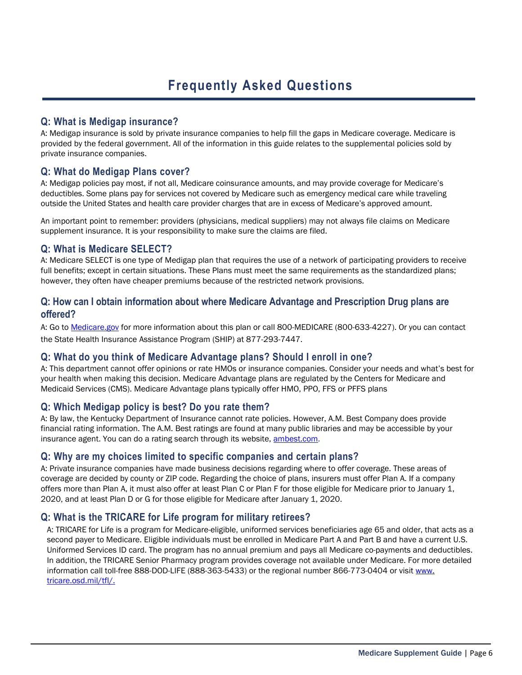#### **Q: What is Medigap insurance?**

A: Medigap insurance is sold by private insurance companies to help fill the gaps in Medicare coverage. Medicare is provided by the federal government. All of the information in this guide relates to the supplemental policies sold by private insurance companies.

#### **Q: What do Medigap Plans cover?**

A: Medigap policies pay most, if not all, Medicare coinsurance amounts, and may provide coverage for Medicare's deductibles. Some plans pay for services not covered by Medicare such as emergency medical care while traveling outside the United States and health care provider charges that are in excess of Medicare's approved amount.

An important point to remember: providers (physicians, medical suppliers) may not always file claims on Medicare supplement insurance. It is your responsibility to make sure the claims are filed.

#### **Q: What is Medicare SELECT?**

A: Medicare SELECT is one type of Medigap plan that requires the use of a network of participating providers to receive full benefits; except in certain situations. These Plans must meet the same requirements as the standardized plans; however, they often have cheaper premiums because of the restricted network provisions.

#### **Q: How can I obtain information about where Medicare Advantage and Prescription Drug plans are offered?**

A: Go to Medicare.gov for more information about this plan or call 800-MEDICARE (800-633-4227). Or you can contact the State Health Insurance Assistance Program (SHIP) at 877-293-7447.

#### **Q: What do you think of Medicare Advantage plans? Should I enroll in one?**

A: This department cannot offer opinions or rate HMOs or insurance companies. Consider your needs and what's best for your health when making this decision. Medicare Advantage plans are regulated by the Centers for Medicare and Medicaid Services (CMS). Medicare Advantage plans typically offer HMO, PPO, FFS or PFFS plans

#### **Q: Which Medigap policy is best? Do you rate them?**

A: By law, the Kentucky Department of Insurance cannot rate policies. However, A.M. Best Company does provide financial rating information. The A.M. Best ratings are found at many public libraries and may be accessible by your insurance agent. You can do a rating search through its website, ambest.com.

#### **Q: Why are my choices limited to specific companies and certain plans?**

A: Private insurance companies have made business decisions regarding where to offer coverage. These areas of coverage are decided by county or ZIP code. Regarding the choice of plans, insurers must offer Plan A. If a company offers more than Plan A, it must also offer at least Plan C or Plan F for those eligible for Medicare prior to January 1, 2020, and at least Plan D or G for those eligible for Medicare after January 1, 2020.

#### **Q: What is the TRICARE for Life program for military retirees?**

A: TRICARE for Life is a program for Medicare-eligible, uniformed services beneficiaries age 65 and older, that acts as a second payer to Medicare. Eligible individuals must be enrolled in Medicare Part A and Part B and have a current U.S. Uniformed Services ID card. The program has no annual premium and pays all Medicare co-payments and deductibles. In addition, the TRICARE Senior Pharmacy program provides coverage not available under Medicare. For more detailed information call toll-free 888-DOD-LIFE (888-363-5433) or the regional number 866-773-0404 or visit www. tricare.osd.mil/tfl/.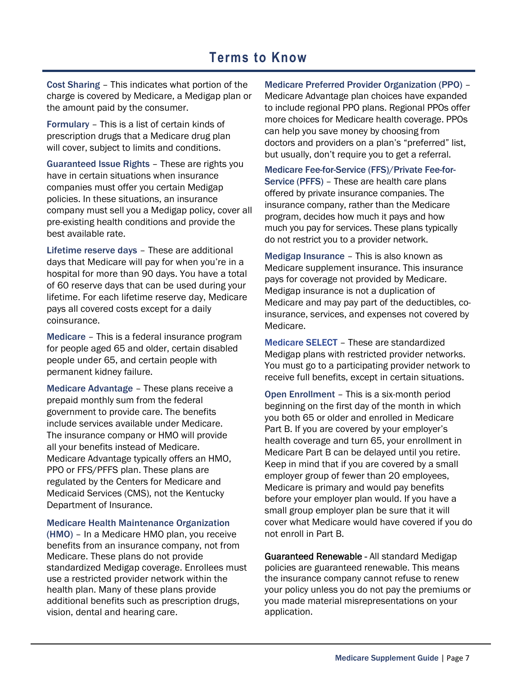## **Terms to Know**

Cost Sharing – This indicates what portion of the charge is covered by Medicare, a Medigap plan or the amount paid by the consumer.

Formulary – This is a list of certain kinds of prescription drugs that a Medicare drug plan will cover, subject to limits and conditions.

Guaranteed Issue Rights – These are rights you have in certain situations when insurance companies must offer you certain Medigap policies. In these situations, an insurance company must sell you a Medigap policy, cover all pre-existing health conditions and provide the best available rate.

Lifetime reserve days – These are additional days that Medicare will pay for when you're in a hospital for more than 90 days. You have a total of 60 reserve days that can be used during your lifetime. For each lifetime reserve day, Medicare pays all covered costs except for a daily coinsurance.

Medicare – This is a federal insurance program for people aged 65 and older, certain disabled people under 65, and certain people with permanent kidney failure.

Medicare Advantage – These plans receive a prepaid monthly sum from the federal government to provide care. The benefits include services available under Medicare. The insurance company or HMO will provide all your benefits instead of Medicare. Medicare Advantage typically offers an HMO, PPO or FFS/PFFS plan. These plans are regulated by the Centers for Medicare and Medicaid Services (CMS), not the Kentucky Department of Insurance.

Medicare Health Maintenance Organization

(HMO) – In a Medicare HMO plan, you receive benefits from an insurance company, not from Medicare. These plans do not provide standardized Medigap coverage. Enrollees must use a restricted provider network within the health plan. Many of these plans provide additional benefits such as prescription drugs, vision, dental and hearing care.

Medicare Preferred Provider Organization (PPO) –

Medicare Advantage plan choices have expanded to include regional PPO plans. Regional PPOs offer more choices for Medicare health coverage. PPOs can help you save money by choosing from doctors and providers on a plan's "preferred" list, but usually, don't require you to get a referral.

Medicare Fee-for-Service (FFS)/Private Fee-for-Service (PFFS) – These are health care plans offered by private insurance companies. The insurance company, rather than the Medicare program, decides how much it pays and how much you pay for services. These plans typically do not restrict you to a provider network.

Medigap Insurance – This is also known as Medicare supplement insurance. This insurance pays for coverage not provided by Medicare. Medigap insurance is not a duplication of Medicare and may pay part of the deductibles, coinsurance, services, and expenses not covered by Medicare.

Medicare SELECT – These are standardized Medigap plans with restricted provider networks. You must go to a participating provider network to receive full benefits, except in certain situations.

Open Enrollment – This is a six-month period beginning on the first day of the month in which you both 65 or older and enrolled in Medicare Part B. If you are covered by your employer's health coverage and turn 65, your enrollment in Medicare Part B can be delayed until you retire. Keep in mind that if you are covered by a small employer group of fewer than 20 employees, Medicare is primary and would pay benefits before your employer plan would. If you have a small group employer plan be sure that it will cover what Medicare would have covered if you do not enroll in Part B.

Guaranteed Renewable - All standard Medigap policies are guaranteed renewable. This means the insurance company cannot refuse to renew your policy unless you do not pay the premiums or you made material misrepresentations on your application.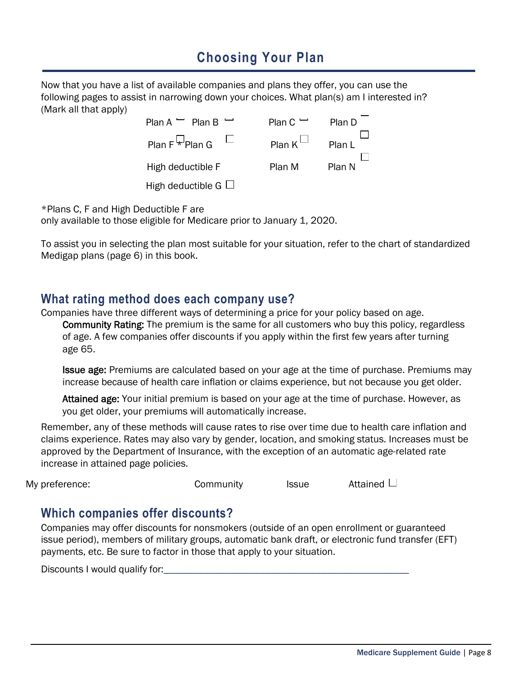# **Choosing Your Plan**

Now that you have a list of available companies and plans they offer, you can use the following pages to assist in narrowing down your choices. What plan(s) am I interested in? (Mark all that apply)

| Plan A $-$ Plan B $-$            | Plan $C -$          | Plan D |
|----------------------------------|---------------------|--------|
| Plan F $\overline{\star}$ Plan G | Plan K $^{\square}$ | Plan L |
| High deductible F                | Plan M              | Plan N |
| High deductible $G \Box$         |                     |        |

\*Plans C, F and High Deductible F are only available to those eligible for Medicare prior to January 1, 2020.

To assist you in selecting the plan most suitable for your situation, refer to the chart of standardized Medigap plans (page 6) in this book.

## **What rating method does each company use?**

Companies have three different ways of determining a price for your policy based on age. Community Rating: The premium is the same for all customers who buy this policy, regardless

of age. A few companies offer discounts if you apply within the first few years after turning age 65.

**Issue age:** Premiums are calculated based on your age at the time of purchase. Premiums may increase because of health care inflation or claims experience, but not because you get older.

Attained age: Your initial premium is based on your age at the time of purchase. However, as you get older, your premiums will automatically increase.

Remember, any of these methods will cause rates to rise over time due to health care inflation and claims experience. Rates may also vary by gender, location, and smoking status. Increases must be approved by the Department of Insurance, with the exception of an automatic age-related rate increase in attained page policies.

| My preference: | Community | <b>Issue</b> | Attained □ |
|----------------|-----------|--------------|------------|
|                |           |              |            |

## **Which companies offer discounts?**

Companies may offer discounts for nonsmokers (outside of an open enrollment or guaranteed issue period), members of military groups, automatic bank draft, or electronic fund transfer (EFT) payments, etc. Be sure to factor in those that apply to your situation.

Discounts I would qualify for: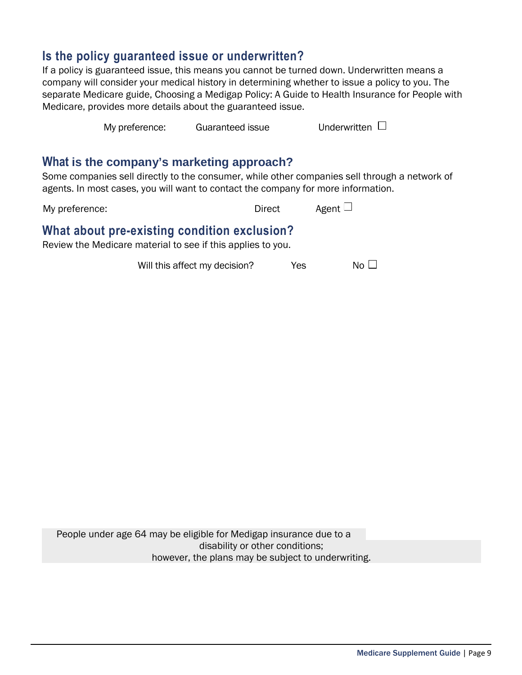## **Is the policy guaranteed issue or underwritten?**

If a policy is guaranteed issue, this means you cannot be turned down. Underwritten means a company will consider your medical history in determining whether to issue a policy to you. The separate Medicare guide, Choosing a Medigap Policy: A Guide to Health Insurance for People with Medicare, provides more details about the guaranteed issue.

My preference: Guaranteed issue Underwritten  $\Box$ 

### **What is the company's marketing approach?**

Some companies sell directly to the consumer, while other companies sell through a network of agents. In most cases, you will want to contact the company for more information.

My preference:  $\Box$  Direct Agent  $\Box$ 

## **What about pre-existing condition exclusion?**

Review the Medicare material to see if this applies to you.

Will this affect my decision?  $Yes$  No  $\Box$ 

People under age 64 may be eligible for Medigap insurance due to a disability or other conditions; however, the plans may be subject to underwriting.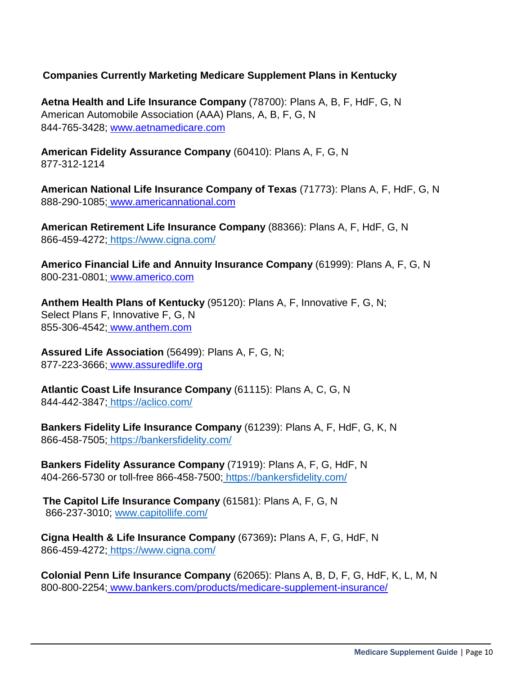#### **Companies Currently Marketing Medicare Supplement Plans in Kentucky**

**Aetna Health and Life Insurance Company** (78700): Plans A, B, F, HdF, G, N American Automobile Association (AAA) Plans, A, B, F, G, N 844-765-3428; www.aetnamedicare.com

**American Fidelity Assurance Company** (60410): Plans A, F, G, N 877-312-1214

**American National Life Insurance Company of Texas** (71773): Plans A, F, HdF, G, N 888-290-1085; www.americannational.com

**American Retirement Life Insurance Company** (88366): Plans A, F, HdF, G, N 866-459-4272; https://www.cigna.com/

**Americo Financial Life and Annuity Insurance Company** (61999): Plans A, F, G, N 800-231-0801; www.americo.com

**Anthem Health Plans of Kentucky** (95120): Plans A, F, Innovative F, G, N; Select Plans F, Innovative F, G, N 855-306-4542; www.anthem.com

**Assured Life Association** (56499): Plans A, F, G, N; 877-223-3666; www.assuredlife.org

**Atlantic Coast Life Insurance Company** (61115): Plans A, C, G, N 844-442-3847; https://aclico.com/

**Bankers Fidelity Life Insurance Company** (61239): Plans A, F, HdF, G, K, N 866-458-7505; https://bankersfidelity.com/

**Bankers Fidelity Assurance Company** (71919): Plans A, F, G, HdF, N 404-266-5730 or toll-free 866-458-7500; https://bankersfidelity.com/

**The Capitol Life Insurance Company** (61581): Plans A, F, G, N 866-237-3010; www.capitollife.com/

**Cigna Health & Life Insurance Company** (67369)**:** Plans A, F, G, HdF, N 866-459-4272; https://www.cigna.com/

**Colonial Penn Life Insurance Company** (62065): Plans A, B, D, F, G, HdF, K, L, M, N 800-800-2254; www.bankers.com/products/medicare-supplement-insurance/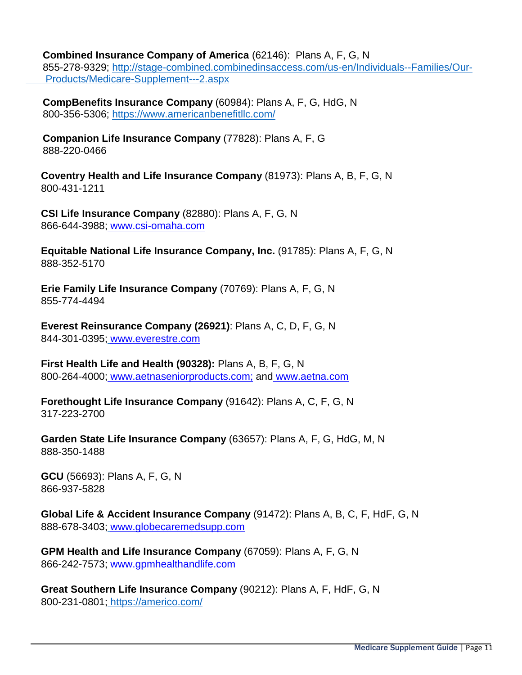**Combined Insurance Company of America** (62146): Plans A, F, G, N

855-278-9329; http://stage-combined.combinedinsaccess.com/us-en/Individuals--Families/Our-Products/Medicare-Supplement---2.aspx

**CompBenefits Insurance Company** (60984): Plans A, F, G, HdG, N 800-356-5306; https://www.americanbenefitllc.com/

**Companion Life Insurance Company** (77828): Plans A, F, G 888-220-0466

**Coventry Health and Life Insurance Company** (81973): Plans A, B, F, G, N 800-431-1211

**CSI Life Insurance Company** (82880): Plans A, F, G, N 866-644-3988; www.csi-omaha.com

**Equitable National Life Insurance Company, Inc.** (91785): Plans A, F, G, N 888-352-5170

**Erie Family Life Insurance Company** (70769): Plans A, F, G, N 855-774-4494

**Everest Reinsurance Company (26921)**: Plans A, C, D, F, G, N 844-301-0395; www.everestre.com

**First Health Life and Health (90328):** Plans A, B, F, G, N 800-264-4000; www.aetnaseniorproducts.com; and www.aetna.com

**Forethought Life Insurance Company** (91642): Plans A, C, F, G, N 317-223-2700

**Garden State Life Insurance Company** (63657): Plans A, F, G, HdG, M, N 888-350-1488

**GCU** (56693): Plans A, F, G, N 866-937-5828

**Global Life & Accident Insurance Company** (91472): Plans A, B, C, F, HdF, G, N 888-678-3403; www.globecaremedsupp.com

**GPM Health and Life Insurance Company** (67059): Plans A, F, G, N 866-242-7573; www.gpmhealthandlife.com

**Great Southern Life Insurance Company** (90212): Plans A, F, HdF, G, N 800-231-0801; https://americo.com/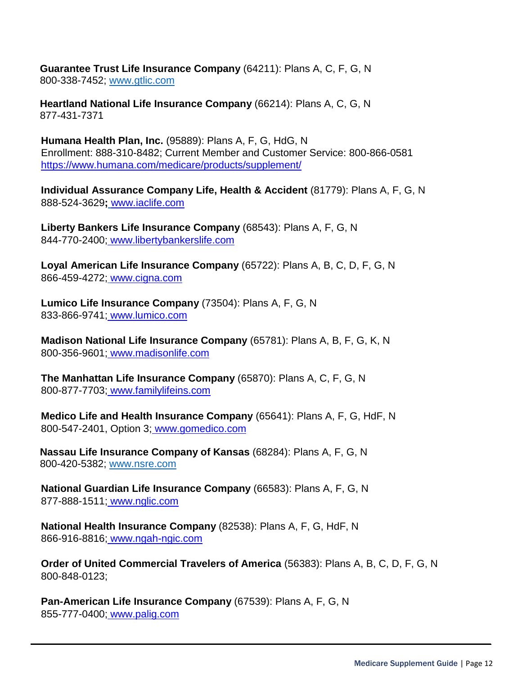**Guarantee Trust Life Insurance Company** (64211): Plans A, C, F, G, N 800-338-7452; www.gtlic.com

**Heartland National Life Insurance Company** (66214): Plans A, C, G, N 877-431-7371

**Humana Health Plan, Inc.** (95889): Plans A, F, G, HdG, N Enrollment: 888-310-8482; Current Member and Customer Service: 800-866-0581 https://www.humana.com/medicare/products/supplement/

**Individual Assurance Company Life, Health & Accident** (81779): Plans A, F, G, N 888-524-3629**;** www.iaclife.com

**Liberty Bankers Life Insurance Company** (68543): Plans A, F, G, N 844-770-2400; www.libertybankerslife.com

**Loyal American Life Insurance Company** (65722): Plans A, B, C, D, F, G, N 866-459-4272; www.cigna.com

**Lumico Life Insurance Company** (73504): Plans A, F, G, N 833-866-9741; www.lumico.com

**Madison National Life Insurance Company** (65781): Plans A, B, F, G, K, N 800-356-9601; www.madisonlife.com

**The Manhattan Life Insurance Company** (65870): Plans A, C, F, G, N 800-877-7703; www.familylifeins.com

**Medico Life and Health Insurance Company** (65641): Plans A, F, G, HdF, N 800-547-2401, Option 3; www.gomedico.com

**Nassau Life Insurance Company of Kansas** (68284): Plans A, F, G, N 800-420-5382; www.nsre.com

**National Guardian Life Insurance Company** (66583): Plans A, F, G, N 877-888-1511; www.nglic.com

**National Health Insurance Company** (82538): Plans A, F, G, HdF, N 866-916-8816; www.ngah-ngic.com

**Order of United Commercial Travelers of America** (56383): Plans A, B, C, D, F, G, N 800-848-0123;

**Pan-American Life Insurance Company** (67539): Plans A, F, G, N 855-777-0400; www.palig.com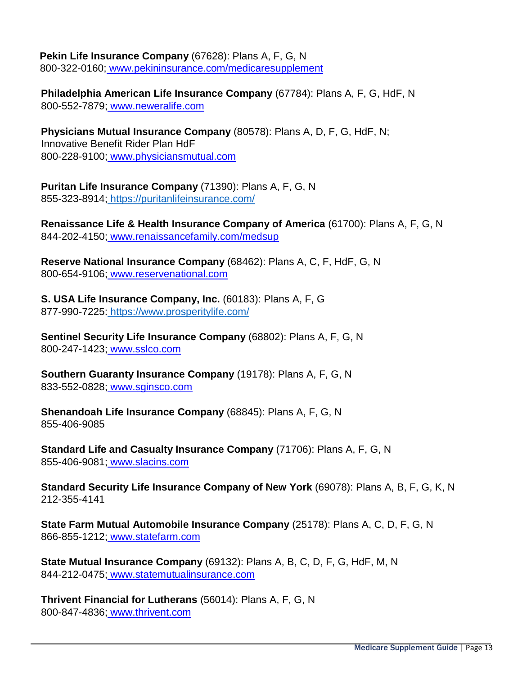### **Pekin Life Insurance Company** (67628): Plans A, F, G, N

800-322-0160; www.pekininsurance.com/medicaresupplement

**Philadelphia American Life Insurance Company** (67784): Plans A, F, G, HdF, N 800-552-7879; www.neweralife.com

**Physicians Mutual Insurance Company** (80578): Plans A, D, F, G, HdF, N; Innovative Benefit Rider Plan HdF 800-228-9100; www.physiciansmutual.com

**Puritan Life Insurance Company** (71390): Plans A, F, G, N 855-323-8914; https://puritanlifeinsurance.com/

**Renaissance Life & Health Insurance Company of America** (61700): Plans A, F, G, N 844-202-4150; www.renaissancefamily.com/medsup

**Reserve National Insurance Company** (68462): Plans A, C, F, HdF, G, N 800-654-9106; www.reservenational.com

**S. USA Life Insurance Company, Inc.** (60183): Plans A, F, G 877-990-7225: https://www.prosperitylife.com/

**Sentinel Security Life Insurance Company** (68802): Plans A, F, G, N 800-247-1423; www.sslco.com

**Southern Guaranty Insurance Company** (19178): Plans A, F, G, N 833-552-0828; www.sginsco.com

**Shenandoah Life Insurance Company** (68845): Plans A, F, G, N 855-406-9085

**Standard Life and Casualty Insurance Company** (71706): Plans A, F, G, N 855-406-9081; www.slacins.com

**Standard Security Life Insurance Company of New York** (69078): Plans A, B, F, G, K, N 212-355-4141

**State Farm Mutual Automobile Insurance Company** (25178): Plans A, C, D, F, G, N 866-855-1212; www.statefarm.com

**State Mutual Insurance Company** (69132): Plans A, B, C, D, F, G, HdF, M, N 844-212-0475; www.statemutualinsurance.com

**Thrivent Financial for Lutherans** (56014): Plans A, F, G, N 800-847-4836; www.thrivent.com